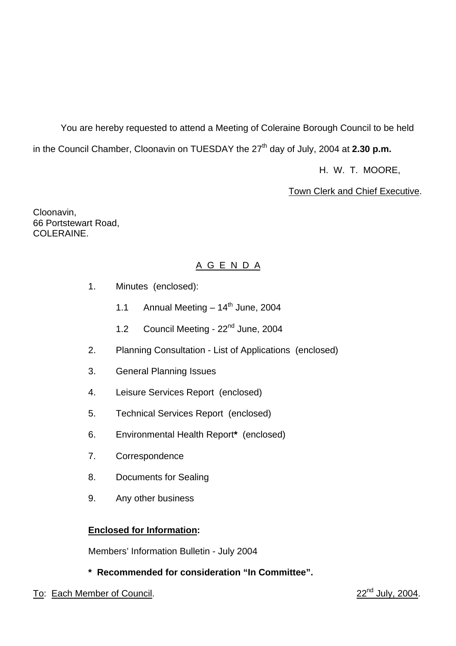You are hereby requested to attend a Meeting of Coleraine Borough Council to be held in the Council Chamber, Cloonavin on TUESDAY the 27<sup>th</sup> day of July, 2004 at 2.30 p.m.

H. W. T. MOORE,

Town Clerk and Chief Executive.

Cloonavin, 66 Portstewart Road, COLERAINE.

# A G E N D A

- 1. Minutes (enclosed):
	- 1.1 Annual Meeting  $-14^{\text{th}}$  June, 2004
	- 1.2 Council Meeting 22<sup>nd</sup> June, 2004
- 2. Planning Consultation List of Applications (enclosed)
- 3. General Planning Issues
- 4. Leisure Services Report (enclosed)
- 5. Technical Services Report (enclosed)
- 6. Environmental Health Report**\*** (enclosed)
- 7. Correspondence
- 8. Documents for Sealing
- 9. Any other business

## **Enclosed for Information:**

Members' Information Bulletin - July 2004

# **\* Recommended for consideration "In Committee".**

To: Each Member of Council. 22<sup>nd</sup> July, 2004.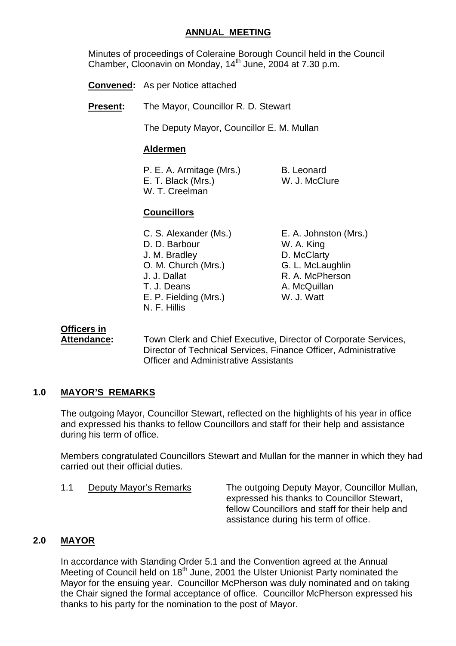### **ANNUAL MEETING**

 Minutes of proceedings of Coleraine Borough Council held in the Council Chamber, Cloonavin on Monday,  $14<sup>th</sup>$  June, 2004 at 7.30 p.m.

**Convened:** As per Notice attached

**Present:** The Mayor, Councillor R. D. Stewart

The Deputy Mayor, Councillor E. M. Mullan

### **Aldermen**

P. E. A. Armitage (Mrs.) B. Leonard E. T. Black (Mrs.) W. J. McClure W. T. Creelman

## **Councillors**

 C. S. Alexander (Ms.) E. A. Johnston (Mrs.) D. D. Barbour W. A. King J. M. Bradley D. McClarty O. M. Church (Mrs.) G. L. McLaughlin J. J. Dallat R. A. McPherson T. J. Deans A. McQuillan E. P. Fielding (Mrs.) W. J. Watt N. F. Hillis

### **Officers in**

 **Attendance:** Town Clerk and Chief Executive, Director of Corporate Services, Director of Technical Services, Finance Officer, Administrative Officer and Administrative Assistants

## **1.0 MAYOR'S REMARKS**

The outgoing Mayor, Councillor Stewart, reflected on the highlights of his year in office and expressed his thanks to fellow Councillors and staff for their help and assistance during his term of office.

Members congratulated Councillors Stewart and Mullan for the manner in which they had carried out their official duties.

 1.1 Deputy Mayor's Remarks The outgoing Deputy Mayor, Councillor Mullan, expressed his thanks to Councillor Stewart, fellow Councillors and staff for their help and assistance during his term of office.

## **2.0 MAYOR**

In accordance with Standing Order 5.1 and the Convention agreed at the Annual Meeting of Council held on 18<sup>th</sup> June, 2001 the Ulster Unionist Party nominated the Mayor for the ensuing year. Councillor McPherson was duly nominated and on taking the Chair signed the formal acceptance of office. Councillor McPherson expressed his thanks to his party for the nomination to the post of Mayor.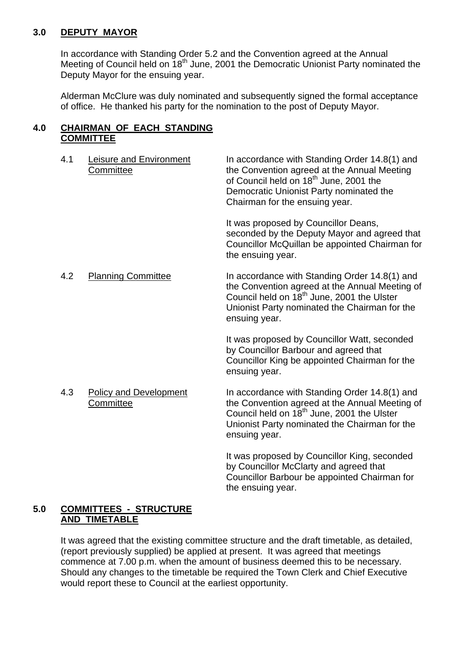## **3.0 DEPUTY MAYOR**

In accordance with Standing Order 5.2 and the Convention agreed at the Annual Meeting of Council held on 18<sup>th</sup> June, 2001 the Democratic Unionist Party nominated the Deputy Mayor for the ensuing year.

Alderman McClure was duly nominated and subsequently signed the formal acceptance of office. He thanked his party for the nomination to the post of Deputy Mayor.

### **4.0 CHAIRMAN OF EACH STANDING COMMITTEE**

| 4.1 | <b>Leisure and Environment</b><br>Committee | In accordance with Standing Order 14.8(1) and<br>the Convention agreed at the Annual Meeting<br>of Council held on 18 <sup>th</sup> June, 2001 the<br>Democratic Unionist Party nominated the<br>Chairman for the ensuing year. |
|-----|---------------------------------------------|---------------------------------------------------------------------------------------------------------------------------------------------------------------------------------------------------------------------------------|
|     |                                             | It was proposed by Councillor Deans,<br>seconded by the Deputy Mayor and agreed that<br>Councillor McQuillan be appointed Chairman for<br>the ensuing year.                                                                     |
| 4.2 | <b>Planning Committee</b>                   | In accordance with Standing Order 14.8(1) and<br>the Convention agreed at the Annual Meeting of<br>Council held on 18 <sup>th</sup> June, 2001 the Ulster<br>Unionist Party nominated the Chairman for the<br>ensuing year.     |
|     |                                             | It was proposed by Councillor Watt, seconded<br>by Councillor Barbour and agreed that<br>Councillor King be appointed Chairman for the<br>ensuing year.                                                                         |
| 4.3 | <b>Policy and Development</b><br>Committee  | In accordance with Standing Order 14.8(1) and<br>the Convention agreed at the Annual Meeting of<br>Council held on 18 <sup>th</sup> June, 2001 the Ulster<br>Unionist Party nominated the Chairman for the<br>ensuing year.     |
|     |                                             | It was proposed by Councillor King, seconded<br>by Councillor McClarty and agreed that<br>Councillor Barbour be appointed Chairman for<br>the ensuing year.                                                                     |

## **5.0 COMMITTEES - STRUCTURE AND TIMETABLE**

It was agreed that the existing committee structure and the draft timetable, as detailed, (report previously supplied) be applied at present. It was agreed that meetings commence at 7.00 p.m. when the amount of business deemed this to be necessary. Should any changes to the timetable be required the Town Clerk and Chief Executive would report these to Council at the earliest opportunity.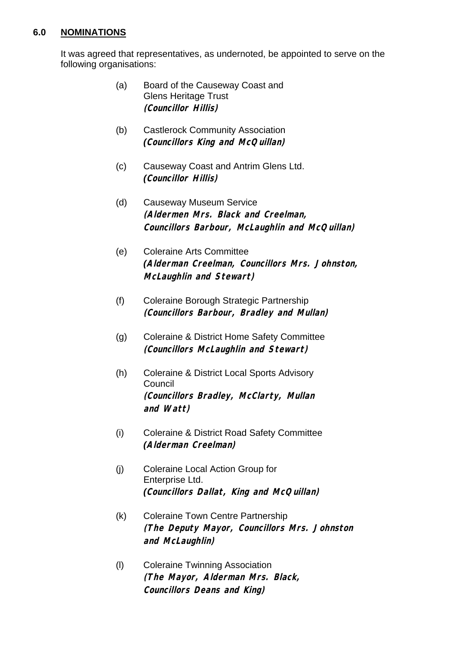## **6.0 NOMINATIONS**

It was agreed that representatives, as undernoted, be appointed to serve on the following organisations:

- (a) Board of the Causeway Coast and Glens Heritage Trust **(Councillor Hillis)**
- (b) Castlerock Community Association *(***Councillors King and McQuillan)**
- (c) Causeway Coast and Antrim Glens Ltd. *(***Councillor Hillis)**
- (d) Causeway Museum Service **(Aldermen Mrs. Black and Creelman, Councillors Barbour, McLaughlin and McQuillan)**
- (e) Coleraine Arts Committee *(***Alderman Creelman, Councillors Mrs. Johnston, McLaughlin and Stewart)**
- (f) Coleraine Borough Strategic Partnership **(Councillors Barbour, Bradley and Mullan)**
- (g) Coleraine & District Home Safety Committee **(Councillors McLaughlin and Stewart)**
- (h) Coleraine & District Local Sports Advisory **Council (Councillors Bradley, McClarty, Mullan and Watt)**
- (i) Coleraine & District Road Safety Committee *(***Alderman Creelman)**
- (j) Coleraine Local Action Group for Enterprise Ltd. *(***Councillors Dallat, King and McQuillan)**
- (k) Coleraine Town Centre Partnership **(The Deputy Mayor, Councillors Mrs. Johnston and McLaughlin)**
- (l) Coleraine Twinning Association **(The Mayor, Alderman Mrs. Black, Councillors Deans and King)**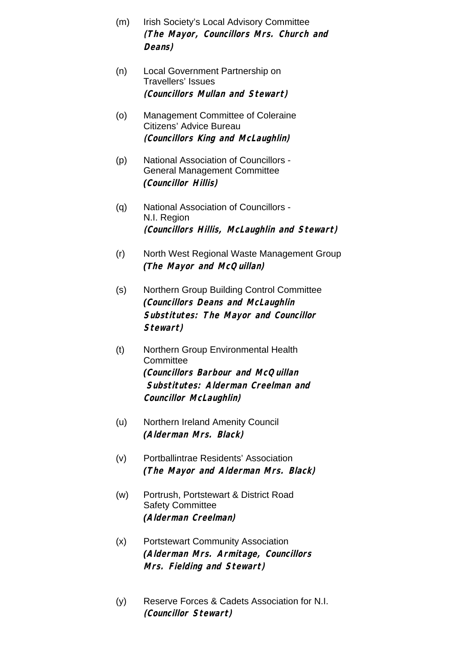- (m) Irish Society's Local Advisory Committee **(The Mayor, Councillors Mrs. Church and Deans)**
- (n) Local Government Partnership on Travellers' Issues **(Councillors Mullan and Stewart)**
- (o) Management Committee of Coleraine Citizens' Advice Bureau **(Councillors King and McLaughlin)**
- (p) National Association of Councillors General Management Committee *(***Councillor Hillis)**
- (q) National Association of Councillors N.I. Region **(Councillors Hillis, McLaughlin and Stewart)**
- (r) North West Regional Waste Management Group *(T***he Mayor and McQuillan)**
- (s) Northern Group Building Control Committee *(***Councillors Deans and McLaughlin Substitutes: The Mayor and Councillor Stewart)**
- (t) Northern Group Environmental Health **Committee**  *(***Councillors Barbour and McQuillan Substitutes: Alderman Creelman and Councillor McLaughlin)**
- (u) Northern Ireland Amenity Council *(***Alderman Mrs. Black)**
- (v) Portballintrae Residents' Association *(***The Mayor and Alderman Mrs. Black)**
- (w) Portrush, Portstewart & District Road Safety Committee *(***Alderman Creelman)**
- (x) Portstewart Community Association *(***Alderman Mrs. Armitage, Councillors Mrs. Fielding and Stewart)**
- (y) Reserve Forces & Cadets Association for N.I. **(Councillor Stewart)**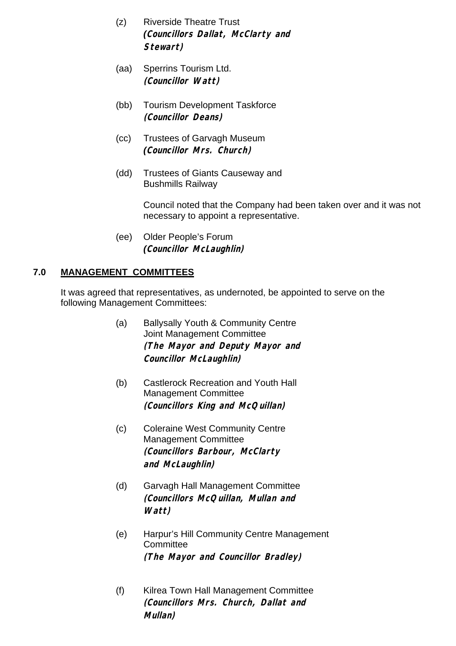- (z) Riverside Theatre Trust *(***Councillors Dallat, McClarty and Stewart)**
- (aa) Sperrins Tourism Ltd. **(Councillor Watt)**
- (bb) Tourism Development Taskforce **(Councillor Deans)**
- (cc) Trustees of Garvagh Museum *(***Councillor Mrs. Church)**
- (dd) Trustees of Giants Causeway and Bushmills Railway

Council noted that the Company had been taken over and it was not necessary to appoint a representative.

 (ee) Older People's Forum *(***Councillor McLaughlin)** 

## **7.0 MANAGEMENT COMMITTEES**

It was agreed that representatives, as undernoted, be appointed to serve on the following Management Committees:

- (a) Ballysally Youth & Community Centre Joint Management Committee **(The Mayor and Deputy Mayor and Councillor McLaughlin)**
- (b) Castlerock Recreation and Youth Hall Management Committee **(Councillors King and McQuillan)**
- (c) Coleraine West Community Centre Management Committee **(Councillors Barbour, McClarty and McLaughlin)**
- (d) Garvagh Hall Management Committee **(Councillors McQuillan, Mullan and Watt)**
- (e) Harpur's Hill Community Centre Management **Committee (The Mayor and Councillor Bradley)**
- (f) Kilrea Town Hall Management Committee **(Councillors Mrs. Church, Dallat and Mullan)**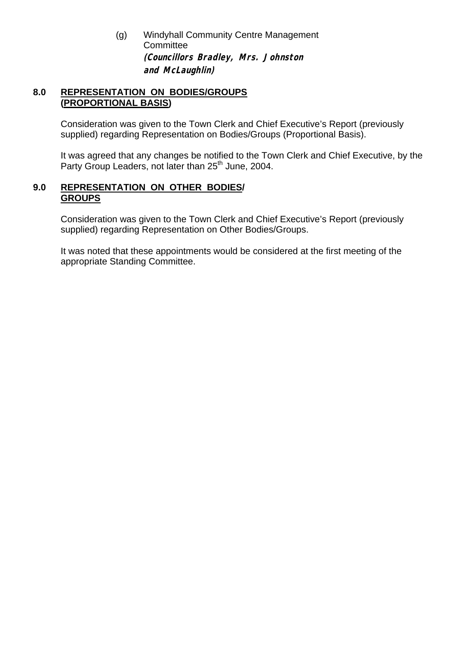(g) Windyhall Community Centre Management **Committee (Councillors Bradley, Mrs. Johnston and McLaughlin)** 

## **8.0 REPRESENTATION ON BODIES/GROUPS (PROPORTIONAL BASIS)**

Consideration was given to the Town Clerk and Chief Executive's Report (previously supplied) regarding Representation on Bodies/Groups (Proportional Basis).

It was agreed that any changes be notified to the Town Clerk and Chief Executive, by the Party Group Leaders, not later than 25<sup>th</sup> June, 2004.

## **9.0 REPRESENTATION ON OTHER BODIES/ GROUPS**

Consideration was given to the Town Clerk and Chief Executive's Report (previously supplied) regarding Representation on Other Bodies/Groups.

It was noted that these appointments would be considered at the first meeting of the appropriate Standing Committee.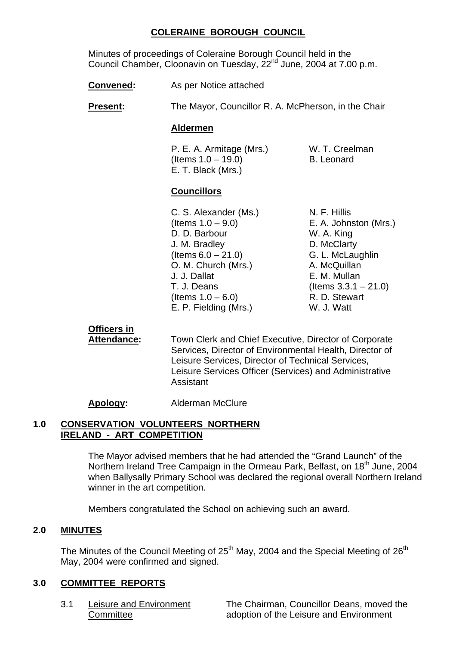## **COLERAINE BOROUGH COUNCIL**

 Minutes of proceedings of Coleraine Borough Council held in the Council Chamber, Cloonavin on Tuesday, 22nd June, 2004 at 7.00 p.m.

**Convened:** As per Notice attached

**Present:** The Mayor, Councillor R. A. McPherson, in the Chair

#### **Aldermen**

P. E. A. Armitage (Mrs.) W. T. Creelman  $($ ltems  $1.0 - 19.0$  B. Leonard E. T. Black (Mrs.)

## **Councillors**

C. S. Alexander (Ms.) N. F. Hillis D. D. Barbour W. A. King J. M. Bradley D. McClarty  $($ ltems  $6.0 - 21.0)$  G. L. McLaughlin O. M. Church (Mrs.) A. McQuillan J. J. Dallat E. M. Mullan T. J. Deans (Items 3.3.1 – 21.0) (Items  $1.0 - 6.0$ )<br>
F. P. Fielding (Mrs.) W. J. Watt E. P. Fielding (Mrs.)

 $($ ltems  $1.0 - 9.0$  E. A. Johnston  $(Mrs.)$ 

## **Officers in**

 **Attendance:** Town Clerk and Chief Executive, Director of Corporate Services, Director of Environmental Health, Director of Leisure Services, Director of Technical Services, Leisure Services Officer (Services) and Administrative Assistant

### **Apology:** Alderman McClure

### **1.0 CONSERVATION VOLUNTEERS NORTHERN IRELAND - ART COMPETITION**

 The Mayor advised members that he had attended the "Grand Launch" of the Northern Ireland Tree Campaign in the Ormeau Park, Belfast, on 18<sup>th</sup> June, 2004 when Ballysally Primary School was declared the regional overall Northern Ireland winner in the art competition.

Members congratulated the School on achieving such an award.

#### **2.0 MINUTES**

The Minutes of the Council Meeting of  $25<sup>th</sup>$  May, 2004 and the Special Meeting of  $26<sup>th</sup>$ May, 2004 were confirmed and signed.

### **3.0 COMMITTEE REPORTS**

 3.1 Leisure and Environment The Chairman, Councillor Deans, moved the Committee **Committee** adoption of the Leisure and Environment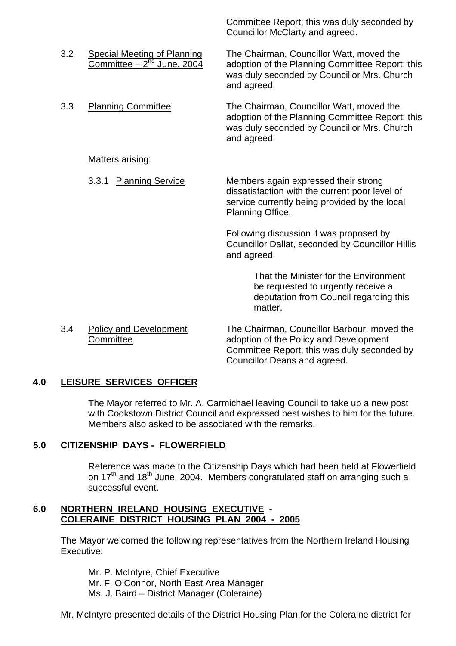Councillor McClarty and agreed. 3.2 Special Meeting of Planning The Chairman, Councillor Watt, moved the Committee –  $2^{nd}$  June, 2004 adoption of the Planning Committee Report adoption of the Planning Committee Report; this was duly seconded by Councillor Mrs. Church and agreed. 3.3 Planning Committee The Chairman, Councillor Watt, moved the adoption of the Planning Committee Report; this was duly seconded by Councillor Mrs. Church and agreed: Matters arising: 3.3.1 Planning Service Members again expressed their strong dissatisfaction with the current poor level of service currently being provided by the local Planning Office. Following discussion it was proposed by Councillor Dallat, seconded by Councillor Hillis and agreed: That the Minister for the Environment be requested to urgently receive a deputation from Council regarding this matter. 3.4 Policy and Development The Chairman, Councillor Barbour, moved the Committee adoption of the Policy and Development

Committee Report; this was duly seconded by

Committee Report; this was duly seconded by

Councillor Deans and agreed.

## **4.0 LEISURE SERVICES OFFICER**

 The Mayor referred to Mr. A. Carmichael leaving Council to take up a new post with Cookstown District Council and expressed best wishes to him for the future. Members also asked to be associated with the remarks.

### **5.0 CITIZENSHIP DAYS - FLOWERFIELD**

 Reference was made to the Citizenship Days which had been held at Flowerfield on 17<sup>th</sup> and 18<sup>th</sup> June, 2004. Members congratulated staff on arranging such a successful event.

### **6.0 NORTHERN IRELAND HOUSING EXECUTIVE - COLERAINE DISTRICT HOUSING PLAN 2004 - 2005**

 The Mayor welcomed the following representatives from the Northern Ireland Housing Executive:

 Mr. P. McIntyre, Chief Executive Mr. F. O'Connor, North East Area Manager Ms. J. Baird – District Manager (Coleraine)

Mr. McIntyre presented details of the District Housing Plan for the Coleraine district for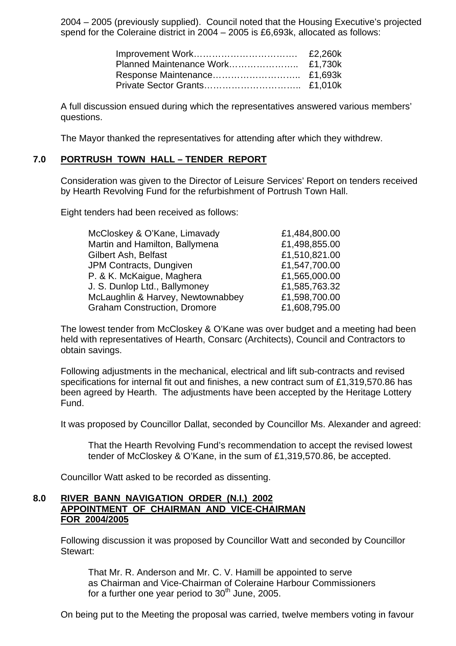2004 – 2005 (previously supplied). Council noted that the Housing Executive's projected spend for the Coleraine district in 2004 – 2005 is £6,693k, allocated as follows:

 A full discussion ensued during which the representatives answered various members' questions.

The Mayor thanked the representatives for attending after which they withdrew.

### **7.0 PORTRUSH TOWN HALL – TENDER REPORT**

 Consideration was given to the Director of Leisure Services' Report on tenders received by Hearth Revolving Fund for the refurbishment of Portrush Town Hall.

Eight tenders had been received as follows:

| McCloskey & O'Kane, Limavady        | £1,484,800.00 |
|-------------------------------------|---------------|
| Martin and Hamilton, Ballymena      | £1,498,855.00 |
| Gilbert Ash, Belfast                | £1,510,821.00 |
| JPM Contracts, Dungiven             | £1,547,700.00 |
| P. & K. McKaigue, Maghera           | £1,565,000.00 |
| J. S. Dunlop Ltd., Ballymoney       | £1,585,763.32 |
| McLaughlin & Harvey, Newtownabbey   | £1,598,700.00 |
| <b>Graham Construction, Dromore</b> | £1,608,795.00 |
|                                     |               |

 The lowest tender from McCloskey & O'Kane was over budget and a meeting had been held with representatives of Hearth, Consarc (Architects), Council and Contractors to obtain savings.

Following adjustments in the mechanical, electrical and lift sub-contracts and revised specifications for internal fit out and finishes, a new contract sum of £1,319,570.86 has been agreed by Hearth. The adjustments have been accepted by the Heritage Lottery Fund.

It was proposed by Councillor Dallat, seconded by Councillor Ms. Alexander and agreed:

 That the Hearth Revolving Fund's recommendation to accept the revised lowest tender of McCloskey & O'Kane, in the sum of £1,319,570.86, be accepted.

Councillor Watt asked to be recorded as dissenting.

### **8.0 RIVER BANN NAVIGATION ORDER (N.I.) 2002 APPOINTMENT OF CHAIRMAN AND VICE-CHAIRMAN FOR 2004/2005**

 Following discussion it was proposed by Councillor Watt and seconded by Councillor Stewart:

 That Mr. R. Anderson and Mr. C. V. Hamill be appointed to serve as Chairman and Vice-Chairman of Coleraine Harbour Commissioners for a further one year period to  $30<sup>th</sup>$  June, 2005.

On being put to the Meeting the proposal was carried, twelve members voting in favour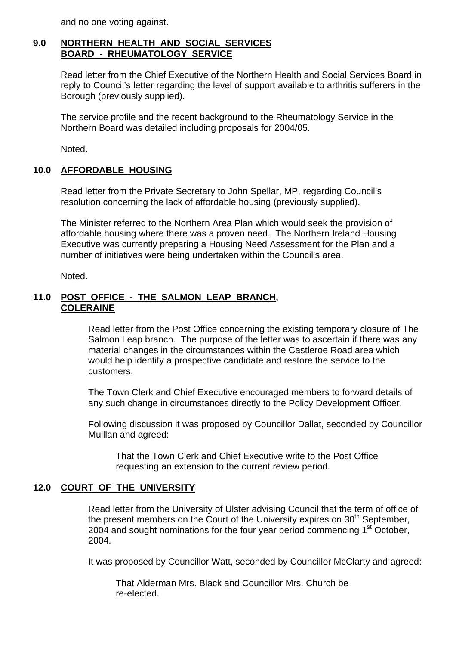and no one voting against.

### **9.0 NORTHERN HEALTH AND SOCIAL SERVICES BOARD - RHEUMATOLOGY SERVICE**

 Read letter from the Chief Executive of the Northern Health and Social Services Board in reply to Council's letter regarding the level of support available to arthritis sufferers in the Borough (previously supplied).

 The service profile and the recent background to the Rheumatology Service in the Northern Board was detailed including proposals for 2004/05.

Noted.

## **10.0 AFFORDABLE HOUSING**

 Read letter from the Private Secretary to John Spellar, MP, regarding Council's resolution concerning the lack of affordable housing (previously supplied).

The Minister referred to the Northern Area Plan which would seek the provision of affordable housing where there was a proven need. The Northern Ireland Housing Executive was currently preparing a Housing Need Assessment for the Plan and a number of initiatives were being undertaken within the Council's area.

Noted.

## **11.0 POST OFFICE - THE SALMON LEAP BRANCH, COLERAINE**

 Read letter from the Post Office concerning the existing temporary closure of The Salmon Leap branch. The purpose of the letter was to ascertain if there was any material changes in the circumstances within the Castleroe Road area which would help identify a prospective candidate and restore the service to the customers.

The Town Clerk and Chief Executive encouraged members to forward details of any such change in circumstances directly to the Policy Development Officer.

Following discussion it was proposed by Councillor Dallat, seconded by Councillor Mulllan and agreed:

 That the Town Clerk and Chief Executive write to the Post Office requesting an extension to the current review period.

## **12.0 COURT OF THE UNIVERSITY**

 Read letter from the University of Ulster advising Council that the term of office of the present members on the Court of the University expires on  $30<sup>th</sup>$  September, 2004 and sought nominations for the four year period commencing  $1<sup>st</sup>$  October, 2004.

It was proposed by Councillor Watt, seconded by Councillor McClarty and agreed:

 That Alderman Mrs. Black and Councillor Mrs. Church be re-elected.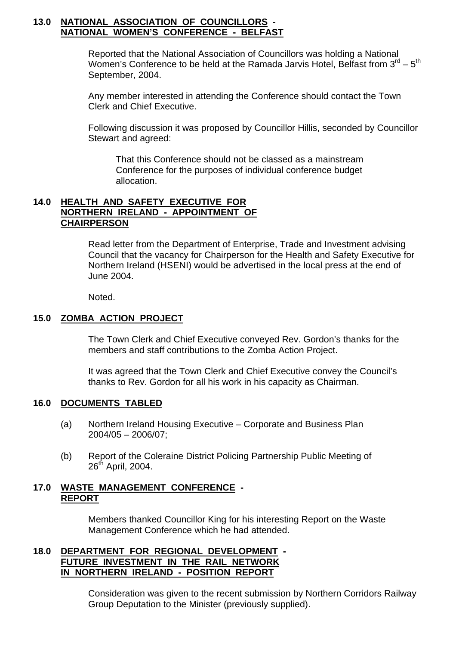#### **13.0 NATIONAL ASSOCIATION OF COUNCILLORS - NATIONAL WOMEN'S CONFERENCE - BELFAST**

Reported that the National Association of Councillors was holding a National Women's Conference to be held at the Ramada Jarvis Hotel, Belfast from  $3^{rd} - 5^{th}$ September, 2004.

Any member interested in attending the Conference should contact the Town Clerk and Chief Executive.

Following discussion it was proposed by Councillor Hillis, seconded by Councillor Stewart and agreed:

 That this Conference should not be classed as a mainstream Conference for the purposes of individual conference budget allocation.

### **14.0 HEALTH AND SAFETY EXECUTIVE FOR NORTHERN IRELAND - APPOINTMENT OF CHAIRPERSON**

 Read letter from the Department of Enterprise, Trade and Investment advising Council that the vacancy for Chairperson for the Health and Safety Executive for Northern Ireland (HSENI) would be advertised in the local press at the end of June 2004.

Noted.

### **15.0 ZOMBA ACTION PROJECT**

 The Town Clerk and Chief Executive conveyed Rev. Gordon's thanks for the members and staff contributions to the Zomba Action Project.

 It was agreed that the Town Clerk and Chief Executive convey the Council's thanks to Rev. Gordon for all his work in his capacity as Chairman.

### **16.0 DOCUMENTS TABLED**

- (a) Northern Ireland Housing Executive Corporate and Business Plan 2004/05 – 2006/07;
- (b) Report of the Coleraine District Policing Partnership Public Meeting of  $26<sup>th</sup>$  April, 2004.

### **17.0 WASTE MANAGEMENT CONFERENCE - REPORT**

 Members thanked Councillor King for his interesting Report on the Waste Management Conference which he had attended.

### **18.0 DEPARTMENT FOR REGIONAL DEVELOPMENT - FUTURE INVESTMENT IN THE RAIL NETWORK IN NORTHERN IRELAND - POSITION REPORT**

 Consideration was given to the recent submission by Northern Corridors Railway Group Deputation to the Minister (previously supplied).